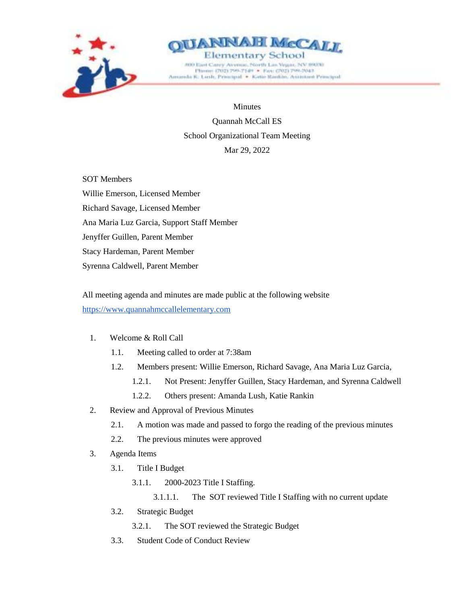



**Minutes** 

Quannah McCall ES School Organizational Team Meeting Mar 29, 2022

SOT Members Willie Emerson, Licensed Member Richard Savage, Licensed Member Ana Maria Luz Garcia, Support Staff Member Jenyffer Guillen, Parent Member Stacy Hardeman, Parent Member Syrenna Caldwell, Parent Member

All meeting agenda and minutes are made public at the following website [https://www.quannahmccallelementary.com](https://www.quannahmccallelementary.com/)

## 1. Welcome & Roll Call

- 1.1. Meeting called to order at 7:38am
- 1.2. Members present: Willie Emerson, Richard Savage, Ana Maria Luz Garcia,
	- 1.2.1. Not Present: Jenyffer Guillen, Stacy Hardeman, and Syrenna Caldwell
	- 1.2.2. Others present: Amanda Lush, Katie Rankin
- 2. Review and Approval of Previous Minutes
	- 2.1. A motion was made and passed to forgo the reading of the previous minutes
	- 2.2. The previous minutes were approved
- 3. Agenda Items
	- 3.1. Title I Budget
		- 3.1.1. 2000-2023 Title I Staffing.
			- 3.1.1.1. The SOT reviewed Title I Staffing with no current update
	- 3.2. Strategic Budget
		- 3.2.1. The SOT reviewed the Strategic Budget
	- 3.3. Student Code of Conduct Review